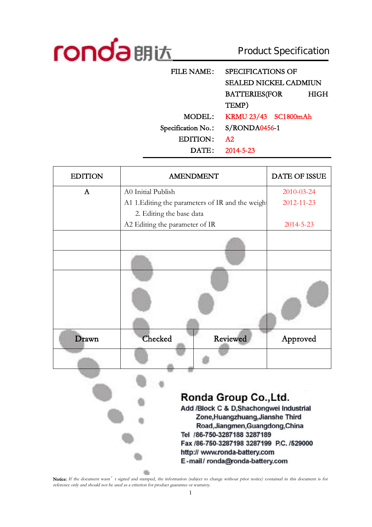

 $\bullet$ 

# Product Specification

| <b>FILE NAME:</b>  | <b>SPECIFICATIONS OF</b>     |  |  |
|--------------------|------------------------------|--|--|
|                    | <b>SEALED NICKEL CADMIUN</b> |  |  |
|                    | <b>BATTERIES(FOR</b><br>HIGH |  |  |
|                    | TEMP)                        |  |  |
| MODEL:             | KRMU 23/43 SC1800mAh         |  |  |
| Specification No.: | S/RONDA0456-1                |  |  |
| EDITION:           | A2                           |  |  |
| DATE:              | 2014-5-23                    |  |  |

| <b>EDITION</b> | <b>AMENDMENT</b>                                  | DATE OF ISSUE   |
|----------------|---------------------------------------------------|-----------------|
| $\mathbf{A}$   | A0 Initial Publish                                | 2010-03-24      |
|                | A1 1. Editing the parameters of IR and the weight | 2012-11-23      |
|                | 2. Editing the base data                          |                 |
|                | A2 Editing the parameter of IR                    | $2014 - 5 - 23$ |
|                |                                                   |                 |
|                |                                                   |                 |
|                |                                                   |                 |
| Drawn          | Checked<br>Reviewed                               | Approved        |
|                |                                                   |                 |

### Ronda Group Co., Ltd. Add /Block C & D.Shachongwei Industrial Zone, Huangzhuang, Jianshe Third Road, Jiangmen, Guangdong, China Tel /86-750-3287188 3287189 Fax /86-750-3287198 3287199 P.C. /529000 http:// www.ronda-battery.com E-mail/ronda@ronda-battery.com

Notice: If the document wasn' t signed and stamped, the information (subject to change without prior notice) contained in this document is for *reference only and should not be used as <sup>a</sup> criterion for product guarantee or warranty.*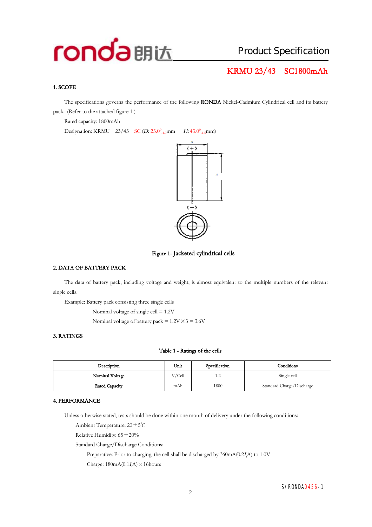## **KRMU 23/43 SC1800mAh**

#### **1. SCOPE**

The specifications governs the performance of the following **RONDA** Nickel-Cadmium Cylindrical cell and its battery pack.. (Refer to the attached figure 1 )

Rated capacity: 1800mAh

Designation: KRMU 23/43 SC (*D*: 23.0<sup>0</sup><sub>-1.0</sub>mm  $_{-1.0}$ mm *H*: 43.0<sup>0</sup><sub>-1.5</sub>mm)





#### **2. DATA OF BATTERY PACK**

The data of battery pack, including voltage and weight, is almost equivalent to the multiple numbers of the relevant single cells.

Example: Battery pack consisting three single cells

Nominal voltage of single cell = 1.2V

Nominal voltage of battery pack =  $1.2V \times 3 = 3.6V$ 

#### **3. RATINGS**

#### **Table 1 - Ratings of the cells**

| Description     | Unit   | Specification | Conditions                |
|-----------------|--------|---------------|---------------------------|
| Nominal Voltage | V/Cell | 1.2           | Single cell               |
| Rated Capacity  | mAh    | 1800          | Standard Charge/Discharge |

#### **4. PERFORMANCE**

Unless otherwise stated, tests should be done within one month of delivery under the following conditions:

Ambient Temperature: 20±5℃

Relative Humidity:  $65 \pm 20\%$ 

Standard Charge/Discharge Conditions:

Preparative: Prior to charging, the cell shall be discharged by  $360mA(0.2I/A)$  to  $1.0V$ 

Charge:  $180mA(0.1I\text{A}) \times 16$ hours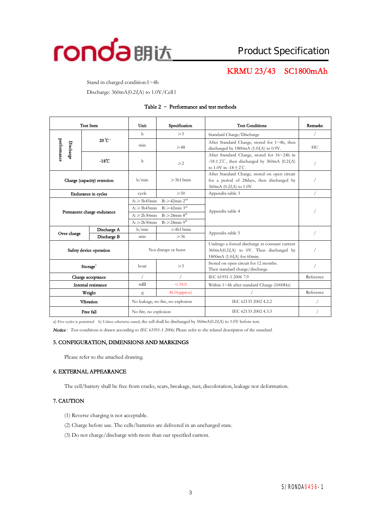

## **KRMU 23/43 SC1800mAh**

Stand in charged condition:1~4h Discharge: 360mA(0.2*<sup>I</sup>t*A) to 1.0V/Cell l

| <b>Test Item</b>            |                            | Specification<br>Unit                                  |                                                       | <b>Test Conditions</b>                                                                                                               | Remarks   |
|-----------------------------|----------------------------|--------------------------------------------------------|-------------------------------------------------------|--------------------------------------------------------------------------------------------------------------------------------------|-----------|
|                             |                            | h                                                      | $\geqslant 5$                                         | Standard Charge/Discharge                                                                                                            |           |
| performance<br>Discharge    | 20 C <sup>a</sup>          | min                                                    | $\geqslant$ 48                                        | After Standard Charge, stored for 1~4h, then<br>discharged by $1800 \text{mA}$ (1.0 <i>I<sub>r</sub>A</i> ) to 0.9V.                 | HU        |
|                             | $-18^{\circ}$ C            |                                                        | $\geqslant$ 2                                         | After Standard Charge, stored for 16~24h in<br>-18 $\pm$ 2°C, then discharged by 360mA (0.2I,A)<br>to $1.0V$ in $-18 + 2^{\circ}C$ . |           |
| Charge (capacity) retention |                            | h/min                                                  | $\geqslant$ 3h15min                                   | After Standard Charge, stored on open circuit<br>for a period of 28days, then discharged by<br>360mA (0.2I,A) to 1.0V.               |           |
|                             | Endurance in cycles        | cycle                                                  | $\geqslant 50$                                        | Appendix-table 3                                                                                                                     |           |
|                             | Permanent charge endurance |                                                        | $B \geq 42$ min $2^{nd}$<br>$A: \geq 3h45$ min        |                                                                                                                                      |           |
|                             |                            |                                                        | $B \geq 42$ min 3 <sup>rd</sup><br>$A: \geq 3h45$ min | Appendix-table 4                                                                                                                     |           |
|                             |                            | $B: \geqslant 24$ min $8th$<br>$A: \ge 2h30$ min       |                                                       |                                                                                                                                      |           |
|                             |                            | $B: \geq 24$ min 9 <sup>th</sup><br>$A: \geq 2h30$ min |                                                       |                                                                                                                                      |           |
| Over charge                 | Discharge A                | h/min                                                  | $\geqslant$ 4h15min                                   | Appendix-table 5                                                                                                                     |           |
|                             | Discharge B                | min                                                    | $\geqslant$ 36                                        |                                                                                                                                      |           |
| Safety device operation     |                            | Not disrupt or burst                                   |                                                       | Undergo a forced discharge at constant current<br>360mA(0.2I,A) to 0V. Then discharged by<br>1800mA (1.0I,A) for 60min.              |           |
| Storageb                    |                            | $\geqslant 5$<br>hour                                  |                                                       | Stored on open circuit for 12 months.<br>Then standard charge/discharge.                                                             |           |
| Charge acceptance           |                            |                                                        |                                                       | IEC 61951-1 2006 7.9                                                                                                                 | Reference |
| Internal resistance         |                            | $m\Omega$                                              | $\leq 18.0$                                           | Within 1~4h after standard Charge (1000Hz)                                                                                           |           |
| Weight                      |                            | g                                                      | $46.0$ (approx)                                       |                                                                                                                                      | Reference |
|                             | Vibration                  | No leakage, no fire, no explosion                      |                                                       | IEC 62133 2002 4.2.2                                                                                                                 |           |
| Free fall                   |                            | No fire, no explosion                                  |                                                       | IEC 62133 2002 4.3.3                                                                                                                 |           |

#### **Table 2 – Performance and test methods**

a) Five cycles is permitted b) Unless otherwise stated, the cell shall be discharged by 360mA(0.2*<sup>I</sup>t*A) to 1.0V before test.

*Notice:Test conditions is drawn according to IEC 61951-1 2006; Please refer to the related description of the standard.* 

#### **5. CONFIGURATION, DIMENSIONS AND MARKINGS**

Please refer to the attached drawing.

#### **6. EXTERNAL APPEARANCE**

The cell/battery shall be free from cracks, scars, breakage, rust, discoloration, leakage nor deformation.

#### **7. CAUTION**

- (1) Reverse charging is not acceptable.
- (2) Charge before use. The cells/batteries are delivered in an uncharged state.
- (3) Do not charge/discharge with more than our specified current.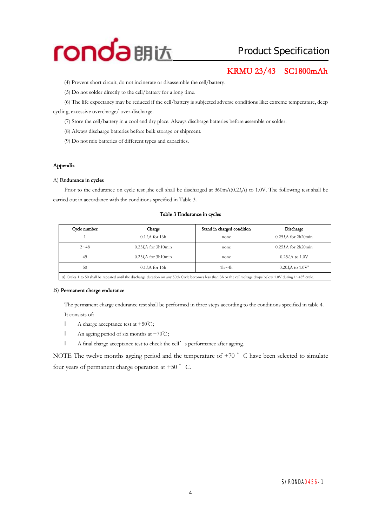

## Product Specification

## **KRMU 23/43 SC1800mAh**

(4) Prevent short circuit, do not incinerate or disassemble the cell/battery.

(5) Do not solder directly to the cell/battery for a long time.

(6) The life expectancy may be reduced if the cell/battery is subjected adverse conditionslike: extreme temperature, deep cycling, excessive overcharge/ over-discharge.

(7) Store the cell/battery in a cool and dry place. Always discharge batteries before assemble or solder.

(8) Always discharge batteries before bulk storage or shipment.

(9) Do not mix batteries of different types and capacities.

#### **Appendix**

#### A) **Endurance in cycles**

Prior to the endurance on cycle test ,the cell shall be discharged at 360mA(0.2*<sup>I</sup>t*A) to 1.0V. The following test shall be carried out in accordance with the conditions specified in Table 3.

#### **Table 3 Endurance in cycles**

| Cycle number | Charge                      | Stand in charged condition | Discharge                   |
|--------------|-----------------------------|----------------------------|-----------------------------|
|              | $0.1I$ A for 16h            | none                       | 0.25 <i>I.A</i> for 2h20min |
| $2 - 48$     | 0.25 <i>I.A</i> for 3h10min | none                       | 0.25 <i>I.A</i> for 2h20min |
| 49           | 0.25 <i>I.A</i> for 3h10min | none                       | $0.25I/A$ to $1.0V$         |
| 50           | $0.1IrA$ for 16h            | $1h - 4h$                  | $0.20 I.A$ to $1.0 V^2$     |
|              |                             |                            |                             |

a) Cycles 1 to 50 shall be repeated until the discharge duration on any 50th Cycle becomes less than 3h or the cell voltage drops below 1.0V during 1~48<sup>th</sup> cycle.

#### B) **Permanent charge endurance**

The permanent charge endurance test shall be performed in three steps according to the conditions specified in table 4. It consists of:

- l A charge acceptance test at +50℃;
- l An ageing period of six months at +70℃;
- l A final charge acceptance test to check the cell's performance after ageing.

NOTE The twelve months ageing period and the temperature of  $+70$   $\degree$  C have been selected to simulate four years of permanent charge operation at  $+50$   $\degree$  C.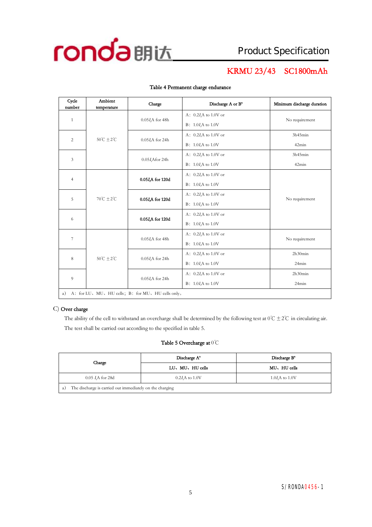

## **KRMU 23/43 SC1800mAh**

| Cycle<br>number                                          | Ambient<br>temperature           | Charge                  | Discharge A or B <sup>a</sup> | Minimum discharge duration |  |
|----------------------------------------------------------|----------------------------------|-------------------------|-------------------------------|----------------------------|--|
|                                                          |                                  |                         | A: $0.2IrA$ to 1.0V or        |                            |  |
| $\mathbf{1}$                                             |                                  | $0.05I\text{A}$ for 48h | $B: 1.0IrA$ to 1.0V           | No requirement             |  |
|                                                          | $50^{\circ}$ C $\pm 2^{\circ}$ C |                         | A: $0.2I_tA$ to 1.0V or       | 3h45min                    |  |
| $\overline{c}$                                           |                                  | $0.05I\text{A}$ for 24h | $B: 1.0I$ to 1.0V             | 42min                      |  |
| 3                                                        |                                  | $0.05I$ Afor 24h        | A: $0.2I$ , A to 1.0V or      | 3h45min                    |  |
|                                                          |                                  |                         | $B: 1.0IrA$ to 1.0V           | 42min                      |  |
| $\overline{4}$                                           |                                  | 0.05I,A for 120d        | A: $0.2I_tA$ to 1.0V or       |                            |  |
|                                                          |                                  |                         | $B: 1.0IrA$ to 1.0V           |                            |  |
| 5                                                        | $70^{\circ}C + 2^{\circ}C$       | 0.05I,A for 120d        | A: $0.2I$ , A to 1.0V or      | No requirement             |  |
|                                                          |                                  |                         | $B: 1.0IrA$ to 1.0V           |                            |  |
| 6                                                        |                                  | 0.05I,A for 120d        | A: $0.2I_tA$ to 1.0V or       |                            |  |
|                                                          |                                  |                         |                               | $B: 1.0I$ to 1.0V          |  |
| $\overline{7}$                                           |                                  | $0.05IrA$ for 48h       | A: $0.2IrA$ to 1.0V or        | No requirement             |  |
|                                                          |                                  |                         | $B: 1.0IrA$ to 1.0V           |                            |  |
| 8                                                        | $50^{\circ}$ C $\pm 2^{\circ}$ C | $0.05I$ A for 24h       | A: $0.2IrA$ to 1.0V or        | 2h30min                    |  |
|                                                          |                                  |                         | $B: 1.0IrA$ to 1.0V           | 24min                      |  |
| 9                                                        |                                  | $0.05IrA$ for 24h       | A: $0.2I$ , A to 1.0V or      | 2h30min                    |  |
|                                                          |                                  |                         | $B: 1.0IrA$ to 1.0V           | 24min                      |  |
| A: for LU, MU, HU cells; B: for MU, HU cells only.<br>a) |                                  |                         |                               |                            |  |

#### **Table 4 Permanent charge endurance**

#### C) **Over charge**

The ability of the cell to withstand an overcharge shall be determined by the following test at  $0^{\circ}C \pm 2^{\circ}C$  in circulating air. The test shall be carried out according to the specified in table 5.

#### **Table 5 Overcharge at** 0℃

| Charge                                                         | Discharge A <sup>*</sup> | Discharge B <sup>a</sup> |  |  |  |
|----------------------------------------------------------------|--------------------------|--------------------------|--|--|--|
|                                                                | LU、MU、HU cells           | MU, HU cells             |  |  |  |
| $0.05$ <i>I.A</i> for 28d                                      | $0.2I$ A to $1.0V$       | $1.0I$ to $1.0V$         |  |  |  |
| The discharge is carried out immediately on the charging<br>a) |                          |                          |  |  |  |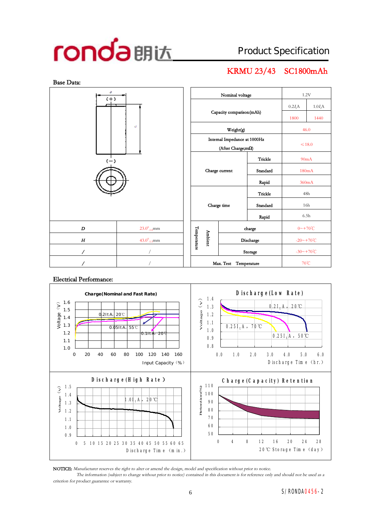# Product Specification

## **KRMU 23/43 SC1800mAh**



#### **Electrical Performance:**



**NOTICE:** *Manufacturer reserves the right to alter or amend the design, model and specification without prior to notice.*

The information (subject to change without prior to notice) contained in this document is for reference only and should not be used as a *criterion for product guarantee or warranty.*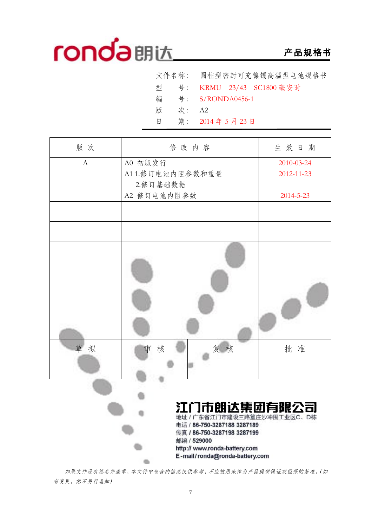## **产品规格书**

|   |       | 文件名称: 圆柱型密封可充镍镉高温型电池规格书    |
|---|-------|----------------------------|
|   |       | 型 号: KRMU 23/43 SC1800 毫安时 |
|   |       | 编 号: S/RONDA0456-1         |
| 版 | 次: A2 |                            |
| 日 |       | 期: 2014年5月23日              |

| 版次           | 修改内容                                                                      | 生效日期            |
|--------------|---------------------------------------------------------------------------|-----------------|
| $\mathbf{A}$ | A0 初版发行                                                                   | 2010-03-24      |
|              | A11.修订电池内阻参数和重量                                                           | 2012-11-23      |
|              | 2.修订基础数据                                                                  |                 |
|              | A2 修订电池内阻参数                                                               | $2014 - 5 - 23$ |
|              |                                                                           |                 |
|              |                                                                           |                 |
|              |                                                                           |                 |
| 草拟           | 复核<br>核<br>审                                                              | 批准              |
|              |                                                                           |                 |
|              | 江门市朗达集团有限公司<br>地址 / 广东省江门市建设三路篁庄沙冲围工业区C、D栋<br>电话 / 86-750-3287188 3287189 |                 |
|              | 传真 / 86-750-3287198 3287199<br>邮编 / 529000                                |                 |
|              | http:// www.ronda-battery.com                                             |                 |

*如果文件没有签名并盖章,本文件中包含的信息仅供参考,不应被用来作为产品提供保证或担保的基准。(如 有变更,恕不另行通知)* 

dia.

http:// www.ronda-battery.com E-mail/ronda@ronda-battery.com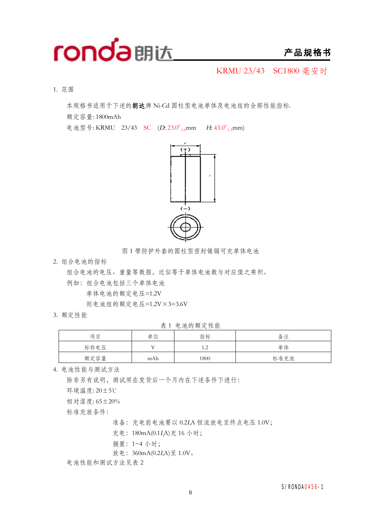

KRMU 23/43 SC1800 毫安时

1. 范围

本规格书适用于下述的**朗达**牌 Ni-Cd 圆柱型电池单体及电池组的全部性能指标.

额定容量: 1800mAh

电池型号: KRMU 23/43 SC (D: 23.0<sup>0</sup><sub>-1.0</sub>mm *H*: 43.0<sup>0</sup><sub>-1.5</sub>mm)



图 1 带防护外套的圆柱型密封镍镉可充单体电池

2. 组合电池的指标

组合电池的电压、重量等数据,近似等于单体电池数与对应值之乘积。 例如:组合电池包括三个单体电池

单体电池的额定电压=1.2V

则电池组的额定电压=1.2V×3=3.6V

3. 额定性能

表 1 电池的额定性能

|      | $\sim$ |                       |      |  |  |  |
|------|--------|-----------------------|------|--|--|--|
| 项目   | 单位     | 指标                    | 备注   |  |  |  |
| 标称电压 | v v    | 1 <sub>2</sub><br>1.Z | 单体   |  |  |  |
| 额定容量 | mAh    | 1800                  | 标准充放 |  |  |  |

4. 电池性能与测试方法

除非另有说明,测试须在发货后一个月内在下述条件下进行:

环境温度: 20±5℃

相对湿度: 65±20%

标准充放条件:

准备:充电前电池要以 0.2*<sup>I</sup>t*A 恒流放电至终点电压 1.0V;

充电:180mA(0.1*<sup>I</sup>t*A)充 16 小时;

搁置:1~4 小时;

放电:360mA(0.2*<sup>I</sup>t*A)至 1.0V。

电池性能和测试方法见表 2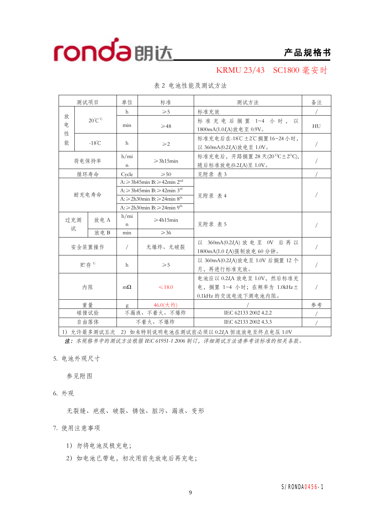

KRMU 23/43 SC1800 毫安时

| 测试项目                                                   |  | 单位                                                                                                                                                                 | 标准                                                                                           | 测试方法                                         | 备注                                                                   |            |  |
|--------------------------------------------------------|--|--------------------------------------------------------------------------------------------------------------------------------------------------------------------|----------------------------------------------------------------------------------------------|----------------------------------------------|----------------------------------------------------------------------|------------|--|
|                                                        |  |                                                                                                                                                                    | h                                                                                            | $\geqslant 5$                                | 标准充放                                                                 |            |  |
| 放<br>$20^{\circ}C^{1}$<br>电                            |  |                                                                                                                                                                    | min                                                                                          | $\geqslant$ 48                               | 标准充电后搁置 1~4 小时, 以<br>1800mA(1.0IA)放电至 0.9V。                          | HU         |  |
| 性<br>能                                                 |  | $-18^{\circ}$ C                                                                                                                                                    | h                                                                                            | $\geqslant$ 2                                | 标准充电后在-18℃±2℃搁置16~24小时,<br>以 360mA(0.2I,A)放电至 1.0V。                  | $\sqrt{2}$ |  |
|                                                        |  | 荷电保持率                                                                                                                                                              | h/min<br>$\mathbf n$                                                                         | $\geqslant$ 3h15min                          | 标准充电后, 开路搁置 28 天(20 °C±2 °C),<br>随后标准放电(0.2I <sub>r</sub> A)至 1.0V。  |            |  |
|                                                        |  | 循环寿命                                                                                                                                                               | Cycle                                                                                        | $\geqslant 50$                               | 见附录 表 3                                                              |            |  |
| 耐充电寿命                                                  |  | A: ≥3h45min B: ≥42min 2 <sup>nd</sup><br>A: $\geq$ 3h45min B: $\geq$ 42min 3 <sup>rd</sup><br>A: ≥2h30min B: ≥24min $8th$<br>A: ≥2h30min B: ≥24min 9 <sup>th</sup> |                                                                                              | 见附录 表 4                                      |                                                                      |            |  |
| 放电A<br>过充测<br>试                                        |  | h/mi<br>$\mathsf{n}$                                                                                                                                               | $\geqslant$ 4h15min                                                                          | 见附录 表 5                                      |                                                                      |            |  |
|                                                        |  | 放电B                                                                                                                                                                | min                                                                                          | $\geqslant$ 36                               |                                                                      |            |  |
|                                                        |  | 安全装置操作                                                                                                                                                             | $\sqrt{2}$                                                                                   | 无爆炸、无破裂                                      | 以 360mA(0.2IA) 放电至 0V 后再以<br>1800mA(1.0 I <sub>r</sub> A)强制放电 60 分钟。 |            |  |
| 贮存1)                                                   |  | h                                                                                                                                                                  | $\geqslant 5$                                                                                | 以 360mA(0.2IA)放电至 1.0V 后搁置 12个<br>月,再进行标准充放。 | $\sqrt{2}$                                                           |            |  |
| 内阻                                                     |  | $m\Omega$                                                                                                                                                          | 电池应以 0.2IA 放电至 1.0V, 然后标准充<br>电,搁置 1~4 小时;在频率为 1.0kHz土<br>$\leq 18.0$<br>0.1kHz 的交流电流下测电池内阻。 |                                              | $\sqrt{2}$                                                           |            |  |
| 重量                                                     |  | g                                                                                                                                                                  | 46.0(大约)                                                                                     |                                              | 参考                                                                   |            |  |
|                                                        |  | 碰撞试验                                                                                                                                                               |                                                                                              | 不漏液、不着火、不爆炸                                  | IEC 62133 2002 4.2.2                                                 |            |  |
|                                                        |  | 自由落体                                                                                                                                                               |                                                                                              | 不着火、不爆炸                                      | IEC 62133 2002 4.3.3                                                 |            |  |
| 1) 允许最多测试五次<br>2) 如未特别说明电池在测试前必须以 0.2IA 恒流放电至终点电压 1.0V |  |                                                                                                                                                                    |                                                                                              |                                              |                                                                      |            |  |

表 2 电池性能及测试方法

1)允许最多测试五次 2)如未特别说明电池在测试前必须以 0.2*<sup>I</sup>t*A 恒流放电至终点电压 1.0V *注:本规格书中的测试方法根据 IEC 61951-1 <sup>2006</sup> 制订,详细测试方法请参考该标准的相关条款。*

5. 电池外观尺寸

参见附图

6. 外观

无裂缝、疤痕、破裂、锈蚀、脏污、漏液、变形

7. 使用注意事项

- 1)勿将电池反极充电;
- 2) 如电池已带电, 初次用前先放电后再充电;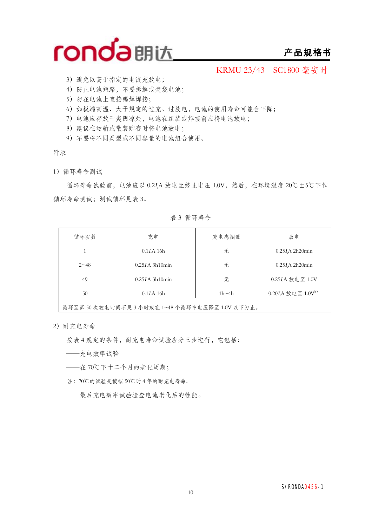

### **产品规格书**

KRMU 23/43 SC1800 毫安时

- 3)避免以高于指定的电流充放电;
- 4)防止电池短路,不要拆解或焚烧电池;
- 5)勿在电池上直接锡焊焊接;
- 6)如极端高温、大于规定的过充、过放电,电池的使用寿命可能会下降;
- 7)电池应存放干爽阴凉处,电池在组装或焊接前应将电池放电;
- 8)建议在运输或散装贮存时将电池放电;
- 9)不要将不同类型或不同容量的电池组合使用。

附录

1)循环寿命测试

循环寿命试验前,电池应以 0.2*<sup>I</sup>t*A 放电至终止电压 1.0V,然后,在环境温度 20℃±5℃下作 循环寿命测试;测试循环见表 3。

表 3 循环寿命

| 循环次数     | 充电                      | 充电态搁置        | 放电                            |
|----------|-------------------------|--------------|-------------------------------|
|          | 0.1I <sub>r</sub> A 16h | 无            | $0.25I$ A 2h20 $min$          |
| $2 - 48$ | $0.25I/A$ 3h10 $min$    | 无            | $0.25I$ A 2h20 $min$          |
| 49       | $0.25I/A$ 3h10 $min$    | 无            | 0.25IA 放电至 1.0V               |
| 50       | 0.1I <sub>r</sub> A 16h | $1h \sim 4h$ | 0.20IA 放电至 1.0V <sup>b)</sup> |
|          |                         |              |                               |

循环至第 50 次放电时间不足 3 小时或在 1~48 个循环中电压降至 1.0V 以下为止。

2)耐充电寿命

按表 4 规定的条件,耐充电寿命试验应分三步进行,它包括:

- ——充电效率试验
- ——在 70℃下十二个月的老化周期;
- 注:70℃的试验是模拟 50℃时 4 年的耐充电寿命。
- ——最后充电效率试验检查电池老化后的性能。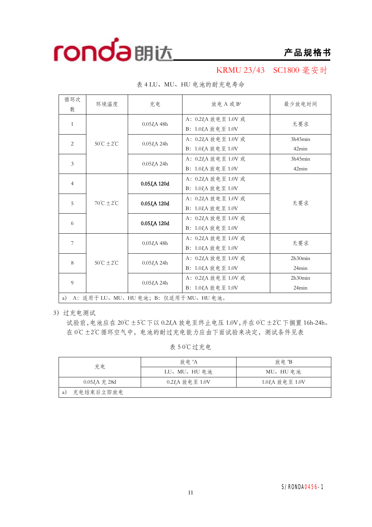

### KRMU 23/43 SC1800 毫安时

| 循环次<br>数                                    | 环境温度                         | 充电                         | 放电 A 或 B <sup>a</sup>                                                        | 最少放电时间           |  |  |  |
|---------------------------------------------|------------------------------|----------------------------|------------------------------------------------------------------------------|------------------|--|--|--|
| 1                                           |                              | 0.05I <sub>r</sub> A 48h   | A: 0.2 <i>I</i> <sub>r</sub> A 放电至 1.0V 或<br>B: 1.0I <sub>r</sub> A 放电至 1.0V | 无要求              |  |  |  |
| 2                                           | $50^{\circ}C \pm 2^{\circ}C$ | 0.05I <sub>r</sub> A 24h   | A: 0.2I,A 放电至 1.0V 或<br>B: 1.0 <i>I<sub>r</sub>A</i> 放电至 1.0V                | 3h45min<br>42min |  |  |  |
| 3                                           |                              | $0.05I_{t}A 24h$           | A: 0.2 <i>I</i> <sub>r</sub> A 放电至 1.0V 或<br>B: 1.0I <sub>r</sub> A 放电至 1.0V | 3h45min<br>42min |  |  |  |
| $\overline{4}$                              | $70^{\circ}C \pm 2^{\circ}C$ | 0.05I <sub>r</sub> A 120d  | A: 0.2 <i>I</i> <sub>r</sub> A 放电至 1.0V 或<br>B: $1.0I_tA$ 放电至 $1.0V$         |                  |  |  |  |
| 5                                           |                              | 0.05I <sub>r</sub> A 120d  | A: 0.2 <i>I<sub>t</sub>A</i> 放电至 1.0V 或<br>B: 1.0I,A 放电至 1.0V                | 无要求              |  |  |  |
| 6                                           |                              | 0.05I <sub>r</sub> A 120d  | A: 0.2I,A 放电至 1.0V 或<br>B: 1.0I,A 放电至 1.0V                                   |                  |  |  |  |
| 7                                           | $50^{\circ}C \pm 2^{\circ}C$ | $0.05I_{t}A$ 48h           | A: 0.2 <i>I</i> <sub>r</sub> A 放电至 1.0V 或<br>B: 1.0I <sub>r</sub> A 放电至 1.0V | 无要求              |  |  |  |
| 8                                           |                              | $0.05I_{t}A 24h$           | A: 0.2I <sub>r</sub> A 放电至 1.0V 或<br>B: $1.0I_tA$ 放电至 $1.0V$                 | 2h30min<br>24min |  |  |  |
| 9                                           |                              | $0.05I$ <sub>A</sub> $24h$ | A: 0.2 <i>I</i> <sub>r</sub> A 放电至 1.0V 或<br>B: 1.0I <sub>A</sub> 放电至 1.0V   | 2h30min<br>24min |  |  |  |
| A: 适用于 LU、MU、HU 电池; B: 仅适用于 MU、HU 电池。<br>a) |                              |                            |                                                                              |                  |  |  |  |

表 4 LU、MU、HU 电池的耐充电寿命

3)过充电测试

试验前,电池应在 20℃±5℃下以 0.2*<sup>I</sup>t*A 放电至终止电压 1.0V,并在 0℃±2℃下搁置 16h-24h。 在 0℃±2℃循环空气中,电池的耐过充电能力应由下面试验来决定,测试条件见表

表 5 0℃过充电

| 充电              | 放 申 <sup>a</sup> A | 放电 <sup>a</sup> B          |
|-----------------|--------------------|----------------------------|
|                 | LU、MU、HU 电池        | MU、HU 电池                   |
| $0.05IrA$ 充 28d | 0.2IA 放电至 1.0V     | 1.0I <sub>A</sub> 放电至 1.0V |
| 充电结束后立即放电<br>a) |                    |                            |